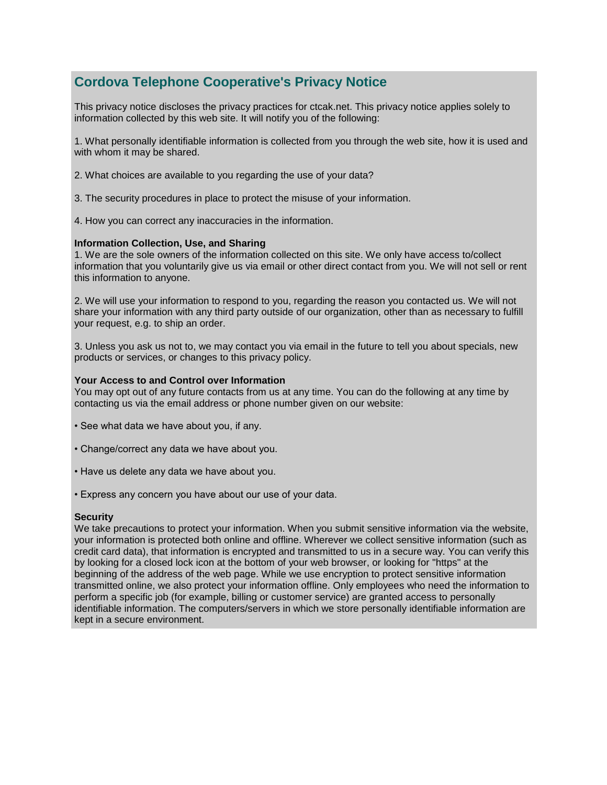# **Cordova Telephone Cooperative's Privacy Notice**

This privacy notice discloses the privacy practices for ctcak.net. This privacy notice applies solely to information collected by this web site. It will notify you of the following:

1. What personally identifiable information is collected from you through the web site, how it is used and with whom it may be shared.

2. What choices are available to you regarding the use of your data?

3. The security procedures in place to protect the misuse of your information.

4. How you can correct any inaccuracies in the information.

### **Information Collection, Use, and Sharing**

1. We are the sole owners of the information collected on this site. We only have access to/collect information that you voluntarily give us via email or other direct contact from you. We will not sell or rent this information to anyone.

2. We will use your information to respond to you, regarding the reason you contacted us. We will not share your information with any third party outside of our organization, other than as necessary to fulfill your request, e.g. to ship an order.

3. Unless you ask us not to, we may contact you via email in the future to tell you about specials, new products or services, or changes to this privacy policy.

#### **Your Access to and Control over Information**

You may opt out of any future contacts from us at any time. You can do the following at any time by contacting us via the email address or phone number given on our website:

- See what data we have about you, if any.
- Change/correct any data we have about you.
- Have us delete any data we have about you.
- Express any concern you have about our use of your data.

### **Security**

We take precautions to protect your information. When you submit sensitive information via the website, your information is protected both online and offline. Wherever we collect sensitive information (such as credit card data), that information is encrypted and transmitted to us in a secure way. You can verify this by looking for a closed lock icon at the bottom of your web browser, or looking for "https" at the beginning of the address of the web page. While we use encryption to protect sensitive information transmitted online, we also protect your information offline. Only employees who need the information to perform a specific job (for example, billing or customer service) are granted access to personally identifiable information. The computers/servers in which we store personally identifiable information are kept in a secure environment.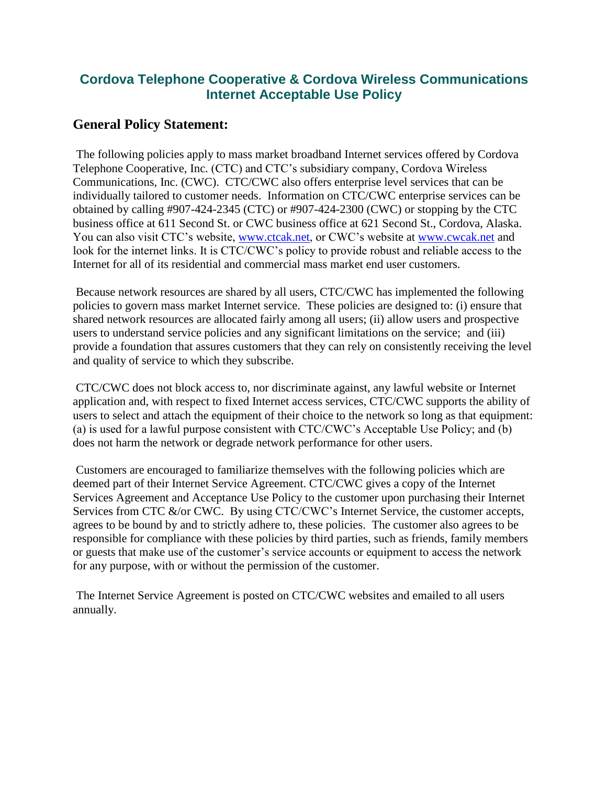# **Cordova Telephone Cooperative & Cordova Wireless Communications Internet Acceptable Use Policy**

# **General Policy Statement:**

The following policies apply to mass market broadband Internet services offered by Cordova Telephone Cooperative, Inc. (CTC) and CTC's subsidiary company, Cordova Wireless Communications, Inc. (CWC). CTC/CWC also offers enterprise level services that can be individually tailored to customer needs. Information on CTC/CWC enterprise services can be obtained by calling #907-424-2345 (CTC) or #907-424-2300 (CWC) or stopping by the CTC business office at 611 Second St. or CWC business office at 621 Second St., Cordova, Alaska. You can also visit CTC's website, [www.ctcak.net,](http://www.ctcak.net/) or CWC's website at [www.cwcak.net](http://www.cwcak.net/) and look for the internet links. It is CTC/CWC's policy to provide robust and reliable access to the Internet for all of its residential and commercial mass market end user customers.

Because network resources are shared by all users, CTC/CWC has implemented the following policies to govern mass market Internet service. These policies are designed to: (i) ensure that shared network resources are allocated fairly among all users; (ii) allow users and prospective users to understand service policies and any significant limitations on the service; and (iii) provide a foundation that assures customers that they can rely on consistently receiving the level and quality of service to which they subscribe.

CTC/CWC does not block access to, nor discriminate against, any lawful website or Internet application and, with respect to fixed Internet access services, CTC/CWC supports the ability of users to select and attach the equipment of their choice to the network so long as that equipment: (a) is used for a lawful purpose consistent with CTC/CWC's Acceptable Use Policy; and (b) does not harm the network or degrade network performance for other users.

Customers are encouraged to familiarize themselves with the following policies which are deemed part of their Internet Service Agreement. CTC/CWC gives a copy of the Internet Services Agreement and Acceptance Use Policy to the customer upon purchasing their Internet Services from CTC &/or CWC. By using CTC/CWC's Internet Service, the customer accepts, agrees to be bound by and to strictly adhere to, these policies. The customer also agrees to be responsible for compliance with these policies by third parties, such as friends, family members or guests that make use of the customer's service accounts or equipment to access the network for any purpose, with or without the permission of the customer.

The Internet Service Agreement is posted on CTC/CWC websites and emailed to all users annually.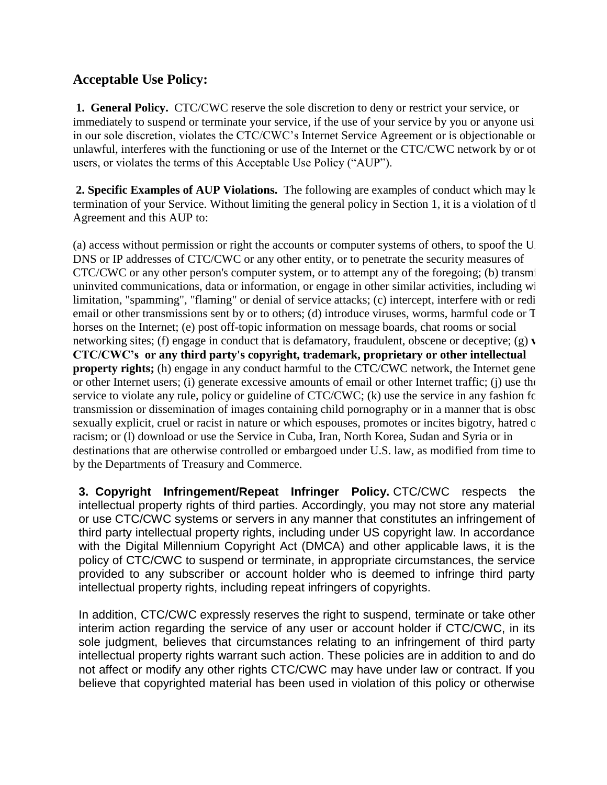## **Acceptable Use Policy:**

**1. General Policy.** CTC/CWC reserve the sole discretion to deny or restrict your service, or immediately to suspend or terminate your service, if the use of your service by you or anyone using in our sole discretion, violates the CTC/CWC's Internet Service Agreement or is objectionable or unlawful, interferes with the functioning or use of the Internet or the CTC/CWC network by or ot users, or violates the terms of this Acceptable Use Policy ("AUP").

**2. Specific Examples of AUP Violations.** The following are examples of conduct which may le termination of your Service. Without limiting the general policy in Section 1, it is a violation of the Agreement and this AUP to:

(a) access without permission or right the accounts or computer systems of others, to spoof the UI DNS or IP addresses of CTC/CWC or any other entity, or to penetrate the security measures of CTC/CWC or any other person's computer system, or to attempt any of the foregoing; (b) transmit uninvited communications, data or information, or engage in other similar activities, including wi limitation, "spamming", "flaming" or denial of service attacks; (c) intercept, interfere with or rediemail or other transmissions sent by or to others; (d) introduce viruses, worms, harmful code or T horses on the Internet; (e) post off-topic information on message boards, chat rooms or social networking sites; (f) engage in conduct that is defamatory, fraudulent, obscene or deceptive; (g)  $\bf{v}$ **CTC/CWC's or any third party's copyright, trademark, proprietary or other intellectual property rights;** (h) engage in any conduct harmful to the CTC/CWC network, the Internet gene or other Internet users; (i) generate excessive amounts of email or other Internet traffic; (j) use the service to violate any rule, policy or guideline of  $CTC/CWC$ ; (k) use the service in any fashion for transmission or dissemination of images containing child pornography or in a manner that is obsc sexually explicit, cruel or racist in nature or which espouses, promotes or incites bigotry, hatred o racism; or (l) download or use the Service in Cuba, Iran, North Korea, Sudan and Syria or in destinations that are otherwise controlled or embargoed under U.S. law, as modified from time to by the Departments of Treasury and Commerce.

**3. Copyright Infringement/Repeat Infringer Policy.** CTC/CWC respects the intellectual property rights of third parties. Accordingly, you may not store any material or use CTC/CWC systems or servers in any manner that constitutes an infringement of third party intellectual property rights, including under US copyright law. In accordance with the Digital Millennium Copyright Act (DMCA) and other applicable laws, it is the policy of CTC/CWC to suspend or terminate, in appropriate circumstances, the service provided to any subscriber or account holder who is deemed to infringe third party intellectual property rights, including repeat infringers of copyrights.

In addition, CTC/CWC expressly reserves the right to suspend, terminate or take other interim action regarding the service of any user or account holder if CTC/CWC, in its sole judgment, believes that circumstances relating to an infringement of third party intellectual property rights warrant such action. These policies are in addition to and do not affect or modify any other rights CTC/CWC may have under law or contract. If you believe that copyrighted material has been used in violation of this policy or otherwise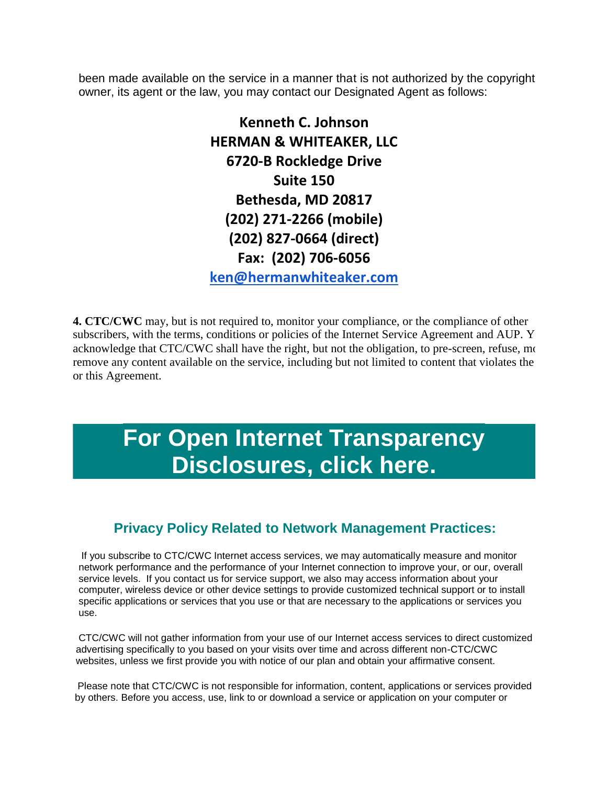been made available on the service in a manner that is not authorized by the copyright owner, its agent or the law, you may contact our Designated Agent as follows:

> **Kenneth C. Johnson HERMAN & WHITEAKER, LLC 6720-B Rockledge Drive Suite 150 Bethesda, MD 20817 (202) 271-2266 (mobile) (202) 827-0664 (direct) Fax: (202) 706-6056 [ken@hermanwhiteaker.com](mailto:ken@hermanwhiteaker.com)**

**4. CTC/CWC** may, but is not required to, monitor your compliance, or the compliance of other subscribers, with the terms, conditions or policies of the Internet Service Agreement and AUP. You acknowledge that CTC/CWC shall have the right, but not the obligation, to pre-screen, refuse, mo remove any content available on the service, including but not limited to content that violates the or this Agreement.

# **[For Open Internet Transparency](http://www.ctcak.net/wp/wp-content/uploads/CTCTransparencyDisclosures.pdf)  [Disclosures, click here.](http://www.ctcak.net/wp/wp-content/uploads/CTCTransparencyDisclosures.pdf)**

# **Privacy Policy Related to Network Management Practices:**

If you subscribe to CTC/CWC Internet access services, we may automatically measure and monitor network performance and the performance of your Internet connection to improve your, or our, overall service levels. If you contact us for service support, we also may access information about your computer, wireless device or other device settings to provide customized technical support or to install specific applications or services that you use or that are necessary to the applications or services you use.

CTC/CWC will not gather information from your use of our Internet access services to direct customized advertising specifically to you based on your visits over time and across different non-CTC/CWC websites, unless we first provide you with notice of our plan and obtain your affirmative consent.

Please note that CTC/CWC is not responsible for information, content, applications or services provided by others. Before you access, use, link to or download a service or application on your computer or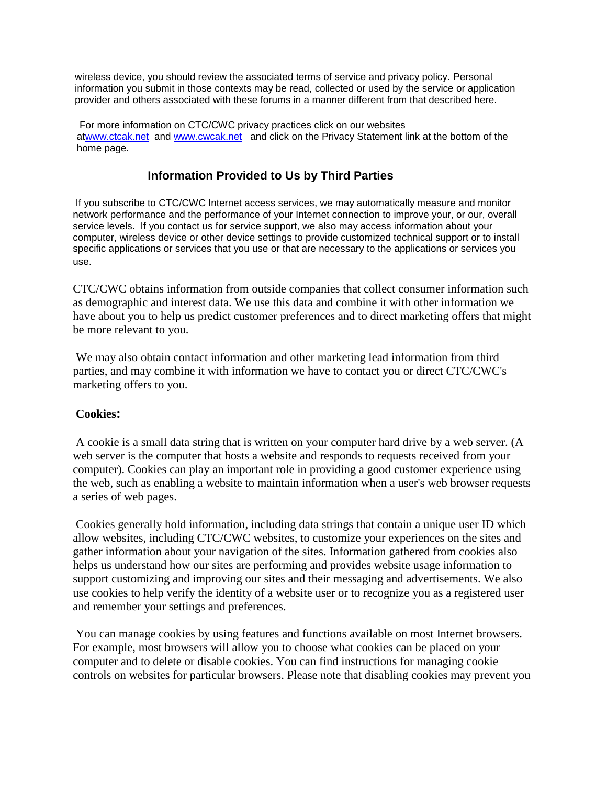wireless device, you should review the associated terms of service and privacy policy. Personal information you submit in those contexts may be read, collected or used by the service or application provider and others associated with these forums in a manner different from that described here.

For more information on CTC/CWC privacy practices click on our websites a[twww.ctcak.net](http://www.ctcak.net/) and [www.cwcak.net](http://www.cwcak.net/) and click on the Privacy Statement link at the bottom of the home page.

## **Information Provided to Us by Third Parties**

If you subscribe to CTC/CWC Internet access services, we may automatically measure and monitor network performance and the performance of your Internet connection to improve your, or our, overall service levels. If you contact us for service support, we also may access information about your computer, wireless device or other device settings to provide customized technical support or to install specific applications or services that you use or that are necessary to the applications or services you use.

CTC/CWC obtains information from outside companies that collect consumer information such as demographic and interest data. We use this data and combine it with other information we have about you to help us predict customer preferences and to direct marketing offers that might be more relevant to you.

We may also obtain contact information and other marketing lead information from third parties, and may combine it with information we have to contact you or direct CTC/CWC's marketing offers to you.

## **Cookies:**

A cookie is a small data string that is written on your computer hard drive by a web server. (A web server is the computer that hosts a website and responds to requests received from your computer). Cookies can play an important role in providing a good customer experience using the web, such as enabling a website to maintain information when a user's web browser requests a series of web pages.

Cookies generally hold information, including data strings that contain a unique user ID which allow websites, including CTC/CWC websites, to customize your experiences on the sites and gather information about your navigation of the sites. Information gathered from cookies also helps us understand how our sites are performing and provides website usage information to support customizing and improving our sites and their messaging and advertisements. We also use cookies to help verify the identity of a website user or to recognize you as a registered user and remember your settings and preferences.

You can manage cookies by using features and functions available on most Internet browsers. For example, most browsers will allow you to choose what cookies can be placed on your computer and to delete or disable cookies. You can find instructions for managing cookie controls on websites for particular browsers. Please note that disabling cookies may prevent you